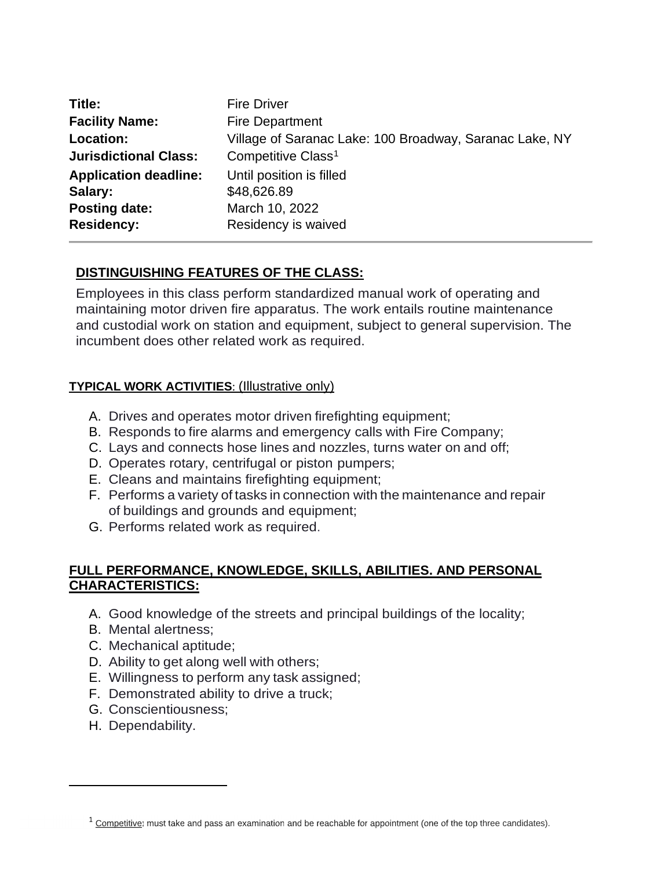| Title:                       | <b>Fire Driver</b>                                      |
|------------------------------|---------------------------------------------------------|
| <b>Facility Name:</b>        | <b>Fire Department</b>                                  |
| Location:                    | Village of Saranac Lake: 100 Broadway, Saranac Lake, NY |
| <b>Jurisdictional Class:</b> | Competitive Class <sup>1</sup>                          |
| <b>Application deadline:</b> | Until position is filled                                |
| Salary:                      | \$48,626.89                                             |
| <b>Posting date:</b>         | March 10, 2022                                          |
| <b>Residency:</b>            | Residency is waived                                     |

# **DISTINGUISHING FEATURES OF THE CLASS:**

Employees in this class perform standardized manual work of operating and maintaining motor driven fire apparatus. The work entails routine maintenance and custodial work on station and equipment, subject to general supervision. The incumbent does other related work as required.

## **TYPICAL WORK ACTIVITIES**: (Illustrative only)

- A. Drives and operates motor driven firefighting equipment;
- B. Responds to fire alarms and emergency calls with Fire Company;
- C. Lays and connects hose lines and nozzles, turns water on and off;
- D. Operates rotary, centrifugal or piston pumpers;
- E. Cleans and maintains firefighting equipment;
- F. Performs a variety of tasks in connection with the maintenance and repair of buildings and grounds and equipment;
- G. Performs related work as required.

## **FULL PERFORMANCE, KNOWLEDGE, SKILLS, ABILITIES. AND PERSONAL CHARACTERISTICS:**

- A. Good knowledge of the streets and principal buildings of the locality;
- B. Mental alertness;
- C. Mechanical aptitude;
- D. Ability to get along well with others;
- E. Willingness to perform any task assigned;
- F. Demonstrated ability to drive a truck;
- G. Conscientiousness;
- H. Dependability.

 $1$  Competitive: must take and pass an examination and be reachable for appointment (one of the top three candidates).